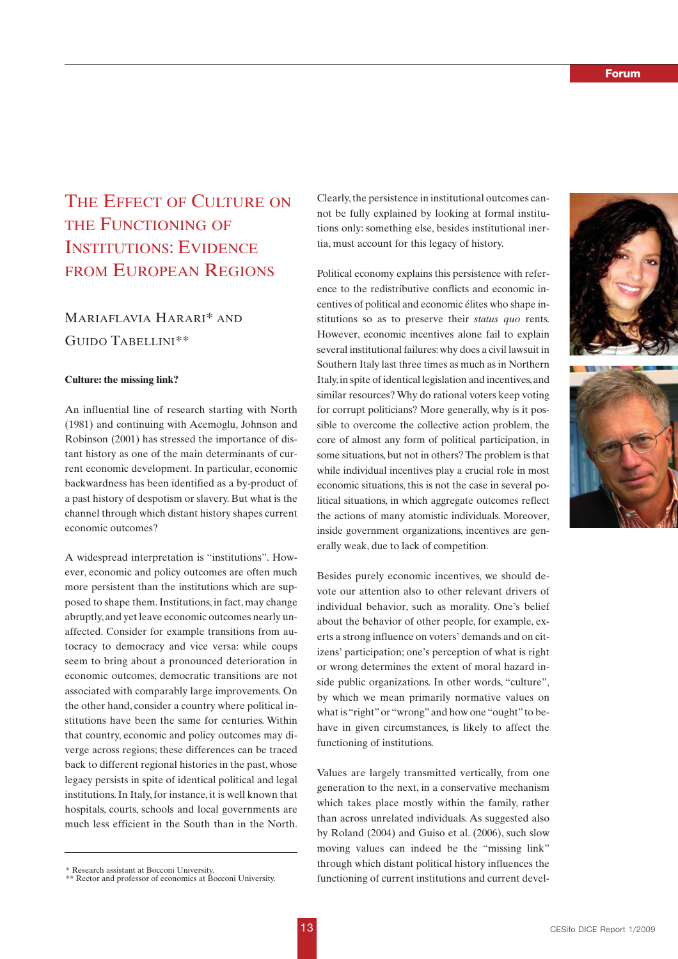# THE EFFECT OF CULTURE ON THE FUNCTIONING OF INSTITUTIONS: EVIDENCE FROM EUROPEAN REGIONS

## MARIAFLAVIA HARARI\* AND GUIDO TABELLINI\*\*

### **Culture: the missing link?**

An influential line of research starting with North (1981) and continuing with Acemoglu, Johnson and Robinson (2001) has stressed the importance of distant history as one of the main determinants of current economic development. In particular, economic backwardness has been identified as a by-product of a past history of despotism or slavery. But what is the channel through which distant history shapes current economic outcomes?

A widespread interpretation is "institutions". However, economic and policy outcomes are often much more persistent than the institutions which are supposed to shape them. Institutions, in fact, may change abruptly, and yet leave economic outcomes nearly unaffected. Consider for example transitions from autocracy to democracy and vice versa: while coups seem to bring about a pronounced deterioration in economic outcomes, democratic transitions are not associated with comparably large improvements. On the other hand, consider a country where political institutions have been the same for centuries. Within that country, economic and policy outcomes may diverge across regions; these differences can be traced back to different regional histories in the past, whose legacy persists in spite of identical political and legal institutions. In Italy, for instance, it is well known that hospitals, courts, schools and local governments are much less efficient in the South than in the North.

Clearly, the persistence in institutional outcomes cannot be fully explained by looking at formal institutions only: something else, besides institutional inertia, must account for this legacy of history.

Political economy explains this persistence with reference to the redistributive conflicts and economic incentives of political and economic élites who shape institutions so as to preserve their *status quo* rents. However, economic incentives alone fail to explain several institutional failures: why does a civil lawsuit in Southern Italy last three times as much as in Northern Italy, in spite of identical legislation and incentives, and similar resources? Why do rational voters keep voting for corrupt politicians? More generally, why is it possible to overcome the collective action problem, the core of almost any form of political participation, in some situations, but not in others? The problem is that while individual incentives play a crucial role in most economic situations, this is not the case in several political situations, in which aggregate outcomes reflect the actions of many atomistic individuals. Moreover, inside government organizations, incentives are generally weak, due to lack of competition.

Besides purely economic incentives, we should devote our attention also to other relevant drivers of individual behavior, such as morality. One's belief about the behavior of other people, for example, exerts a strong influence on voters' demands and on citizens' participation; one's perception of what is right or wrong determines the extent of moral hazard inside public organizations. In other words, "culture", by which we mean primarily normative values on what is "right" or "wrong" and how one "ought" to behave in given circumstances, is likely to affect the functioning of institutions.

Values are largely transmitted vertically, from one generation to the next, in a conservative mechanism which takes place mostly within the family, rather than across unrelated individuals. As suggested also by Roland (2004) and Guiso et al. (2006), such slow moving values can indeed be the "missing link" through which distant political history influences the Functioning of current institutions and current devel-<br>\*\* Rector and professor of economics at Bocconi University. The functioning of current institutions and current devel-





<sup>\*\*</sup> Rector and professor of economics at Bocconi University.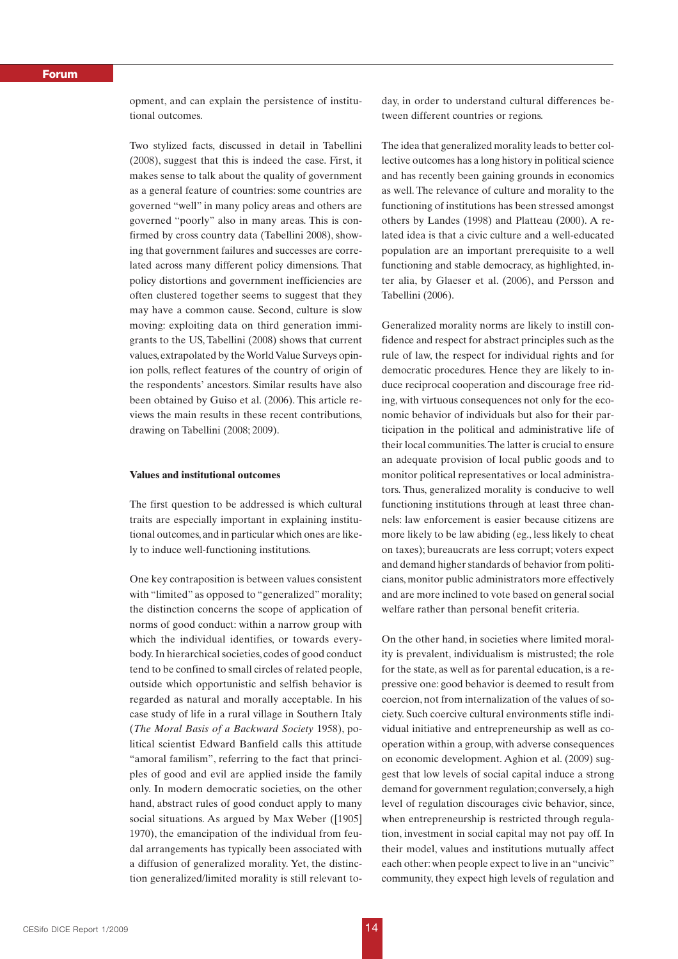### *Forum*

opment, and can explain the persistence of institutional outcomes.

Two stylized facts, discussed in detail in Tabellini (2008), suggest that this is indeed the case. First, it makes sense to talk about the quality of government as a general feature of countries: some countries are governed "well" in many policy areas and others are governed "poorly" also in many areas. This is confirmed by cross country data (Tabellini 2008), showing that government failures and successes are correlated across many different policy dimensions. That policy distortions and government inefficiencies are often clustered together seems to suggest that they may have a common cause. Second, culture is slow moving: exploiting data on third generation immigrants to the US, Tabellini (2008) shows that current values, extrapolated by the World Value Surveys opinion polls, reflect features of the country of origin of the respondents' ancestors. Similar results have also been obtained by Guiso et al. (2006). This article reviews the main results in these recent contributions, drawing on Tabellini (2008; 2009).

## **Values and institutional outcomes**

The first question to be addressed is which cultural traits are especially important in explaining institutional outcomes, and in particular which ones are likely to induce well-functioning institutions.

One key contraposition is between values consistent with "limited" as opposed to "generalized" morality; the distinction concerns the scope of application of norms of good conduct: within a narrow group with which the individual identifies, or towards everybody. In hierarchical societies, codes of good conduct tend to be confined to small circles of related people, outside which opportunistic and selfish behavior is regarded as natural and morally acceptable. In his case study of life in a rural village in Southern Italy (*The Moral Basis of a Backward Society* 1958), political scientist Edward Banfield calls this attitude "amoral familism", referring to the fact that principles of good and evil are applied inside the family only. In modern democratic societies, on the other hand, abstract rules of good conduct apply to many social situations. As argued by Max Weber ([1905] 1970), the emancipation of the individual from feudal arrangements has typically been associated with a diffusion of generalized morality. Yet, the distinction generalized/limited morality is still relevant today, in order to understand cultural differences between different countries or regions.

The idea that generalized morality leads to better collective outcomes has a long history in political science and has recently been gaining grounds in economics as well. The relevance of culture and morality to the functioning of institutions has been stressed amongst others by Landes (1998) and Platteau (2000). A related idea is that a civic culture and a well-educated population are an important prerequisite to a well functioning and stable democracy, as highlighted, inter alia, by Glaeser et al. (2006), and Persson and Tabellini (2006).

Generalized morality norms are likely to instill confidence and respect for abstract principles such as the rule of law, the respect for individual rights and for democratic procedures. Hence they are likely to induce reciprocal cooperation and discourage free riding, with virtuous consequences not only for the economic behavior of individuals but also for their participation in the political and administrative life of their local communities.The latter is crucial to ensure an adequate provision of local public goods and to monitor political representatives or local administrators. Thus, generalized morality is conducive to well functioning institutions through at least three channels: law enforcement is easier because citizens are more likely to be law abiding (eg., less likely to cheat on taxes); bureaucrats are less corrupt; voters expect and demand higher standards of behavior from politicians, monitor public administrators more effectively and are more inclined to vote based on general social welfare rather than personal benefit criteria.

On the other hand, in societies where limited morality is prevalent, individualism is mistrusted; the role for the state, as well as for parental education, is a repressive one: good behavior is deemed to result from coercion, not from internalization of the values of society. Such coercive cultural environments stifle individual initiative and entrepreneurship as well as cooperation within a group, with adverse consequences on economic development. Aghion et al. (2009) suggest that low levels of social capital induce a strong demand for government regulation; conversely, a high level of regulation discourages civic behavior, since, when entrepreneurship is restricted through regulation, investment in social capital may not pay off. In their model, values and institutions mutually affect each other: when people expect to live in an "uncivic" community, they expect high levels of regulation and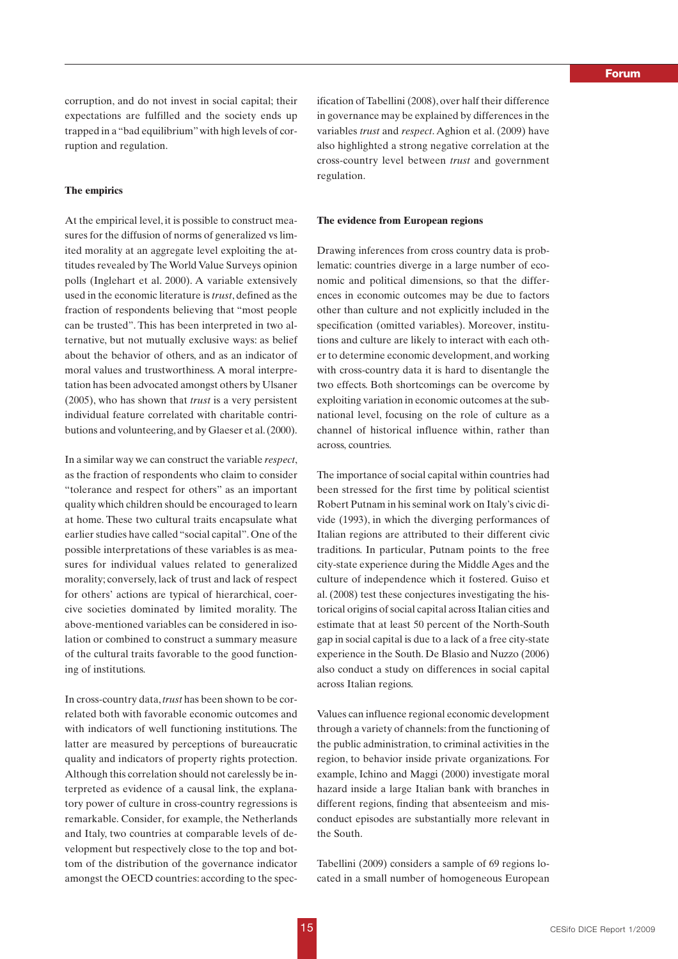corruption, and do not invest in social capital; their expectations are fulfilled and the society ends up trapped in a "bad equilibrium" with high levels of corruption and regulation.

#### **The empirics**

At the empirical level, it is possible to construct measures for the diffusion of norms of generalized vs limited morality at an aggregate level exploiting the attitudes revealed by The World Value Surveys opinion polls (Inglehart et al. 2000). A variable extensively used in the economic literature is *trust*, defined as the fraction of respondents believing that "most people can be trusted". This has been interpreted in two alternative, but not mutually exclusive ways: as belief about the behavior of others, and as an indicator of moral values and trustworthiness. A moral interpretation has been advocated amongst others by Ulsaner (2005), who has shown that *trust* is a very persistent individual feature correlated with charitable contributions and volunteering, and by Glaeser et al. (2000).

In a similar way we can construct the variable *respect*, as the fraction of respondents who claim to consider "tolerance and respect for others" as an important quality which children should be encouraged to learn at home. These two cultural traits encapsulate what earlier studies have called "social capital". One of the possible interpretations of these variables is as measures for individual values related to generalized morality; conversely, lack of trust and lack of respect for others' actions are typical of hierarchical, coercive societies dominated by limited morality. The above-mentioned variables can be considered in isolation or combined to construct a summary measure of the cultural traits favorable to the good functioning of institutions.

In cross-country data, *trust* has been shown to be correlated both with favorable economic outcomes and with indicators of well functioning institutions. The latter are measured by perceptions of bureaucratic quality and indicators of property rights protection. Although this correlation should not carelessly be interpreted as evidence of a causal link, the explanatory power of culture in cross-country regressions is remarkable. Consider, for example, the Netherlands and Italy, two countries at comparable levels of development but respectively close to the top and bottom of the distribution of the governance indicator amongst the OECD countries: according to the specification of Tabellini (2008), over half their difference in governance may be explained by differences in the variables *trust* and *respect*. Aghion et al. (2009) have also highlighted a strong negative correlation at the cross-country level between *trust* and government regulation.

#### **The evidence from European regions**

Drawing inferences from cross country data is problematic: countries diverge in a large number of economic and political dimensions, so that the differences in economic outcomes may be due to factors other than culture and not explicitly included in the specification (omitted variables). Moreover, institutions and culture are likely to interact with each other to determine economic development, and working with cross-country data it is hard to disentangle the two effects. Both shortcomings can be overcome by exploiting variation in economic outcomes at the subnational level, focusing on the role of culture as a channel of historical influence within, rather than across, countries.

The importance of social capital within countries had been stressed for the first time by political scientist Robert Putnam in his seminal work on Italy's civic divide (1993), in which the diverging performances of Italian regions are attributed to their different civic traditions. In particular, Putnam points to the free city-state experience during the Middle Ages and the culture of independence which it fostered. Guiso et al. (2008) test these conjectures investigating the historical origins of social capital across Italian cities and estimate that at least 50 percent of the North-South gap in social capital is due to a lack of a free city-state experience in the South. De Blasio and Nuzzo (2006) also conduct a study on differences in social capital across Italian regions.

Values can influence regional economic development through a variety of channels: from the functioning of the public administration, to criminal activities in the region, to behavior inside private organizations. For example, Ichino and Maggi (2000) investigate moral hazard inside a large Italian bank with branches in different regions, finding that absenteeism and misconduct episodes are substantially more relevant in the South.

Tabellini (2009) considers a sample of 69 regions located in a small number of homogeneous European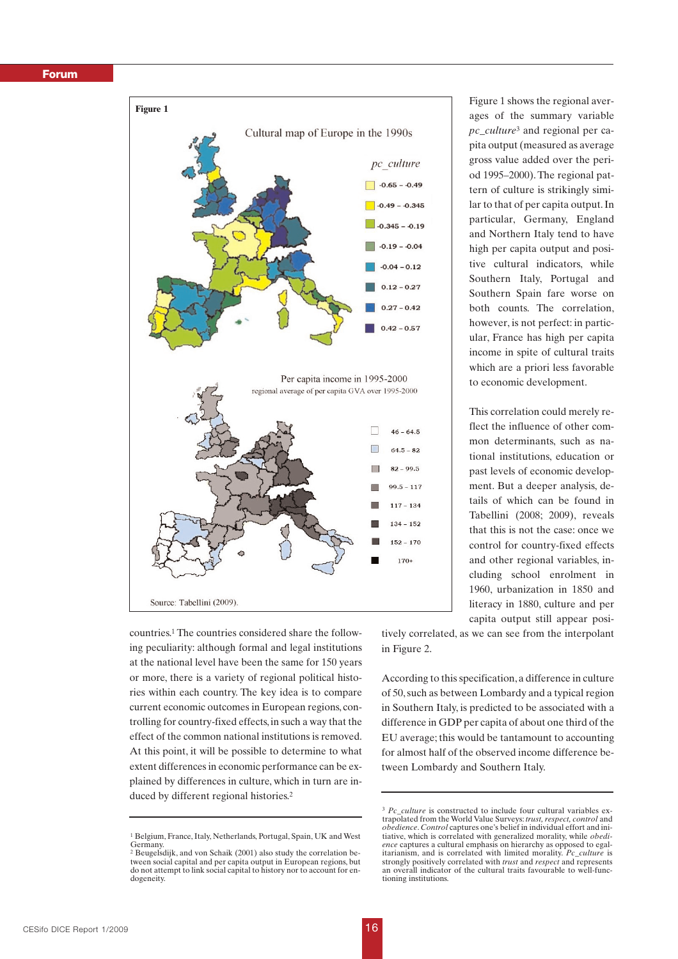### *Forum*



countries.1 The countries considered share the following peculiarity: although formal and legal institutions at the national level have been the same for 150 years or more, there is a variety of regional political histories within each country. The key idea is to compare current economic outcomes in European regions, controlling for country-fixed effects, in such a way that the effect of the common national institutions is removed. At this point, it will be possible to determine to what extent differences in economic performance can be explained by differences in culture, which in turn are induced by different regional histories.2

Figure 1 shows the regional averages of the summary variable *pc\_culture*<sup>3</sup> and regional per capita output (measured as average gross value added over the period 1995–2000). The regional pattern of culture is strikingly similar to that of per capita output. In particular, Germany, England and Northern Italy tend to have high per capita output and positive cultural indicators, while Southern Italy, Portugal and Southern Spain fare worse on both counts. The correlation, however, is not perfect: in particular, France has high per capita income in spite of cultural traits which are a priori less favorable to economic development.

This correlation could merely reflect the influence of other common determinants, such as national institutions, education or past levels of economic development. But a deeper analysis, details of which can be found in Tabellini (2008; 2009), reveals that this is not the case: once we control for country-fixed effects and other regional variables, including school enrolment in 1960, urbanization in 1850 and literacy in 1880, culture and per capita output still appear posi-

tively correlated, as we can see from the interpolant in Figure 2.

According to this specification, a difference in culture of 50, such as between Lombardy and a typical region in Southern Italy, is predicted to be associated with a difference in GDP per capita of about one third of the EU average; this would be tantamount to accounting for almost half of the observed income difference between Lombardy and Southern Italy.

<sup>1</sup> Belgium, France, Italy, Netherlands, Portugal, Spain, UK and West Germany.

<sup>&</sup>lt;sup>2</sup> Beugelsdijk, and von Schaik (2001) also study the correlation between social capital and per capita output in European regions, but do not attempt to link social capital to history nor to account for endogeneity.

<sup>&</sup>lt;sup>3</sup> *Pc\_culture* is constructed to include four cultural variables extrapolated from the World Value Surveys: *trust, respect, control* and *obedience*.*Control* captures one's belief in individual effort and initiative, which is correlated with generalized morality, while *obedience* captures a cultural emphasis on hierarchy as opposed to egalitarianism, and is correlated with limited morality. *Pc\_culture* is strongly positively correlated with *trust* and *respect* and represents an overall indicator of the cultural traits favourable to well-functioning institutions.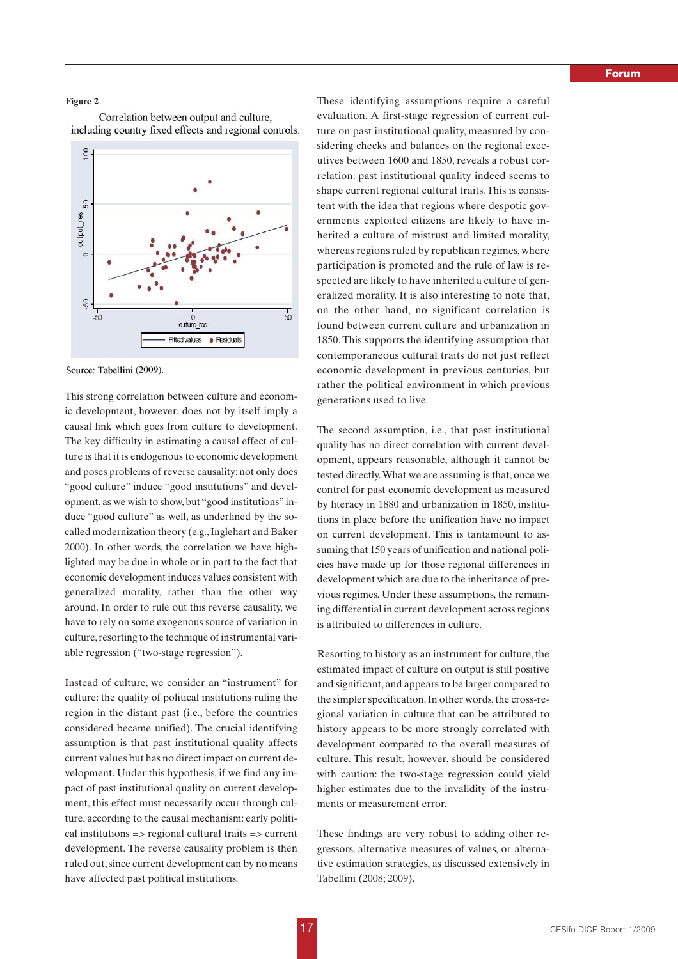#### **Figure 2**

Correlation between output and culture, including country fixed effects and regional controls.



Source: Tabellini (2009).

This strong correlation between culture and economic development, however, does not by itself imply a causal link which goes from culture to development. The key difficulty in estimating a causal effect of culture is that it is endogenous to economic development and poses problems of reverse causality: not only does "good culture" induce "good institutions" and development, as we wish to show, but "good institutions" induce "good culture" as well, as underlined by the socalled modernization theory (e.g., Inglehart and Baker 2000). In other words, the correlation we have highlighted may be due in whole or in part to the fact that economic development induces values consistent with generalized morality, rather than the other way around. In order to rule out this reverse causality, we have to rely on some exogenous source of variation in culture, resorting to the technique of instrumental variable regression ("two-stage regression").

Instead of culture, we consider an "instrument" for culture: the quality of political institutions ruling the region in the distant past (i.e., before the countries considered became unified). The crucial identifying assumption is that past institutional quality affects current values but has no direct impact on current development. Under this hypothesis, if we find any impact of past institutional quality on current development, this effect must necessarily occur through culture, according to the causal mechanism: early political institutions => regional cultural traits => current development. The reverse causality problem is then ruled out, since current development can by no means have affected past political institutions.

These identifying assumptions require a careful evaluation. A first-stage regression of current culture on past institutional quality, measured by considering checks and balances on the regional executives between 1600 and 1850, reveals a robust correlation: past institutional quality indeed seems to shape current regional cultural traits. This is consistent with the idea that regions where despotic governments exploited citizens are likely to have inherited a culture of mistrust and limited morality, whereas regions ruled by republican regimes, where participation is promoted and the rule of law is respected are likely to have inherited a culture of generalized morality. It is also interesting to note that, on the other hand, no significant correlation is found between current culture and urbanization in 1850. This supports the identifying assumption that contemporaneous cultural traits do not just reflect economic development in previous centuries, but rather the political environment in which previous generations used to live.

The second assumption, i.e., that past institutional quality has no direct correlation with current development, appears reasonable, although it cannot be tested directly.What we are assuming is that, once we control for past economic development as measured by literacy in 1880 and urbanization in 1850, institutions in place before the unification have no impact on current development. This is tantamount to assuming that 150 years of unification and national policies have made up for those regional differences in development which are due to the inheritance of previous regimes. Under these assumptions, the remaining differential in current development across regions is attributed to differences in culture.

Resorting to history as an instrument for culture, the estimated impact of culture on output is still positive and significant, and appears to be larger compared to the simpler specification. In other words, the cross-regional variation in culture that can be attributed to history appears to be more strongly correlated with development compared to the overall measures of culture. This result, however, should be considered with caution: the two-stage regression could yield higher estimates due to the invalidity of the instruments or measurement error.

These findings are very robust to adding other regressors, alternative measures of values, or alternative estimation strategies, as discussed extensively in Tabellini (2008; 2009).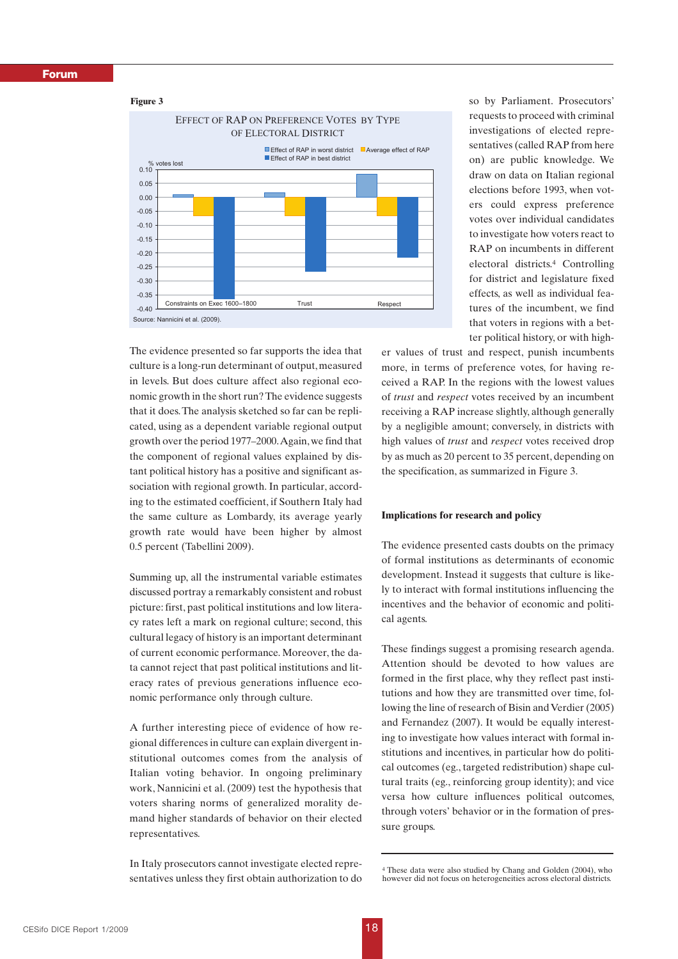## *Forum*

#### **Figure 3**



The evidence presented so far supports the idea that culture is a long-run determinant of output, measured in levels. But does culture affect also regional economic growth in the short run? The evidence suggests that it does.The analysis sketched so far can be replicated, using as a dependent variable regional output growth over the period 1977–2000.Again, we find that the component of regional values explained by distant political history has a positive and significant association with regional growth. In particular, according to the estimated coefficient, if Southern Italy had the same culture as Lombardy, its average yearly growth rate would have been higher by almost 0.5 percent (Tabellini 2009).

Summing up, all the instrumental variable estimates discussed portray a remarkably consistent and robust picture: first, past political institutions and low literacy rates left a mark on regional culture; second, this cultural legacy of history is an important determinant of current economic performance. Moreover, the data cannot reject that past political institutions and literacy rates of previous generations influence economic performance only through culture.

A further interesting piece of evidence of how regional differences in culture can explain divergent institutional outcomes comes from the analysis of Italian voting behavior. In ongoing preliminary work, Nannicini et al. (2009) test the hypothesis that voters sharing norms of generalized morality demand higher standards of behavior on their elected representatives.

In Italy prosecutors cannot investigate elected representatives unless they first obtain authorization to do so by Parliament. Prosecutors' requests to proceed with criminal investigations of elected representatives (called RAP from here on) are public knowledge. We draw on data on Italian regional elections before 1993, when voters could express preference votes over individual candidates to investigate how voters react to RAP on incumbents in different electoral districts.4 Controlling for district and legislature fixed effects, as well as individual features of the incumbent, we find that voters in regions with a better political history, or with high-

er values of trust and respect, punish incumbents more, in terms of preference votes, for having received a RAP. In the regions with the lowest values of *trust* and *respect* votes received by an incumbent receiving a RAP increase slightly, although generally by a negligible amount; conversely, in districts with high values of *trust* and *respect* votes received drop by as much as 20 percent to 35 percent, depending on the specification, as summarized in Figure 3.

## **Implications for research and policy**

The evidence presented casts doubts on the primacy of formal institutions as determinants of economic development. Instead it suggests that culture is likely to interact with formal institutions influencing the incentives and the behavior of economic and political agents.

These findings suggest a promising research agenda. Attention should be devoted to how values are formed in the first place, why they reflect past institutions and how they are transmitted over time, following the line of research of Bisin and Verdier (2005) and Fernandez (2007). It would be equally interesting to investigate how values interact with formal institutions and incentives, in particular how do political outcomes (eg., targeted redistribution) shape cultural traits (eg., reinforcing group identity); and vice versa how culture influences political outcomes, through voters' behavior or in the formation of pressure groups.

<sup>4</sup> These data were also studied by Chang and Golden (2004), who however did not focus on heterogeneities across electoral districts.